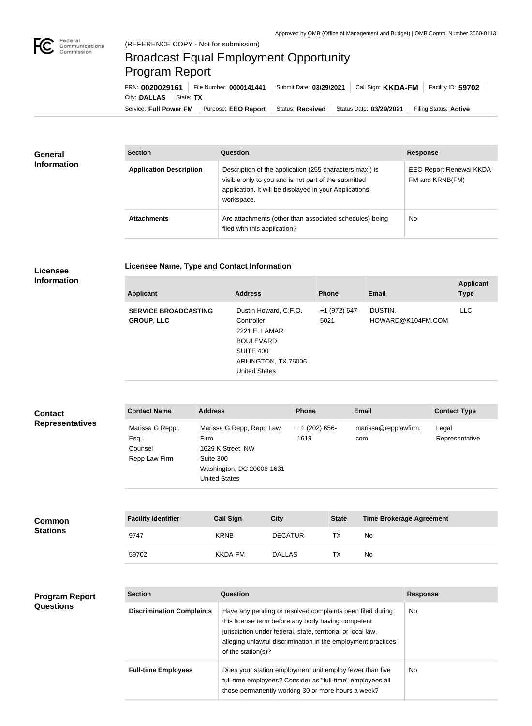## Broadcast Equal Employment Opportunity Program Report

**Licensee Name, Type and Contact Information**

Service: Full Power FM Purpose: EEO Report | Status: Received | Status Date: 03/29/2021 | Filing Status: Active City: DALLAS | State: TX FRN: **0020029161** File Number: **0000141441** Submit Date: **03/29/2021** Call Sign: **KKDA-FM** Facility ID: **59702**

| <b>General</b><br><b>Information</b> | <b>Section</b>                 | Question                                                                                                                                                                                | <b>Response</b>                                    |  |
|--------------------------------------|--------------------------------|-----------------------------------------------------------------------------------------------------------------------------------------------------------------------------------------|----------------------------------------------------|--|
|                                      | <b>Application Description</b> | Description of the application (255 characters max.) is<br>visible only to you and is not part of the submitted<br>application. It will be displayed in your Applications<br>workspace. | <b>EEO Report Renewal KKDA-</b><br>FM and KRNB(FM) |  |
|                                      | <b>Attachments</b>             | Are attachments (other than associated schedules) being<br>filed with this application?                                                                                                 | <b>No</b>                                          |  |

## **Licensee Information**

| <b>Applicant</b>                                 | <b>Address</b>                                                                                                                       | <b>Phone</b>          | <b>Email</b>                 | <b>Applicant</b><br><b>Type</b> |
|--------------------------------------------------|--------------------------------------------------------------------------------------------------------------------------------------|-----------------------|------------------------------|---------------------------------|
| <b>SERVICE BROADCASTING</b><br><b>GROUP, LLC</b> | Dustin Howard, C.F.O.<br>Controller<br>2221 E. LAMAR<br><b>BOULEVARD</b><br>SUITE 400<br>ARLINGTON, TX 76006<br><b>United States</b> | +1 (972) 647-<br>5021 | DUSTIN.<br>HOWARD@K104FM.COM | LLC.                            |
|                                                  |                                                                                                                                      |                       |                              |                                 |

| <b>Contact</b>         | <b>Contact Name</b>                                    | <b>Address</b>                                                                                                          | <b>Phone</b>            | <b>Email</b>                | <b>Contact Type</b>     |
|------------------------|--------------------------------------------------------|-------------------------------------------------------------------------------------------------------------------------|-------------------------|-----------------------------|-------------------------|
| <b>Representatives</b> | Marissa G Repp,<br>$Esq$ .<br>Counsel<br>Repp Law Firm | Marissa G Repp, Repp Law<br>Firm<br>1629 K Street, NW<br>Suite 300<br>Washington, DC 20006-1631<br><b>United States</b> | $+1$ (202) 656-<br>1619 | marissa@repplawfirm.<br>com | Legal<br>Representative |

| <b>Common</b><br><b>Stations</b> | <b>Facility Identifier</b> | <b>Call Sign</b> | <b>City</b>    | <b>State</b> | <b>Time Brokerage Agreement</b> |
|----------------------------------|----------------------------|------------------|----------------|--------------|---------------------------------|
|                                  | 9747                       | <b>KRNB</b>      | <b>DECATUR</b> | TX           | No                              |
|                                  | 59702                      | KKDA-FM          | <b>DALLAS</b>  | ТX           | No                              |

## **Program Report Questions**

| <b>Section</b>                   | Question                                                                                                                                                                                                                                                              | <b>Response</b> |  |
|----------------------------------|-----------------------------------------------------------------------------------------------------------------------------------------------------------------------------------------------------------------------------------------------------------------------|-----------------|--|
| <b>Discrimination Complaints</b> | Have any pending or resolved complaints been filed during<br>this license term before any body having competent<br>jurisdiction under federal, state, territorial or local law,<br>alleging unlawful discrimination in the employment practices<br>of the station(s)? | No.             |  |
| <b>Full-time Employees</b>       | Does your station employment unit employ fewer than five<br>full-time employees? Consider as "full-time" employees all<br>those permanently working 30 or more hours a week?                                                                                          | No.             |  |